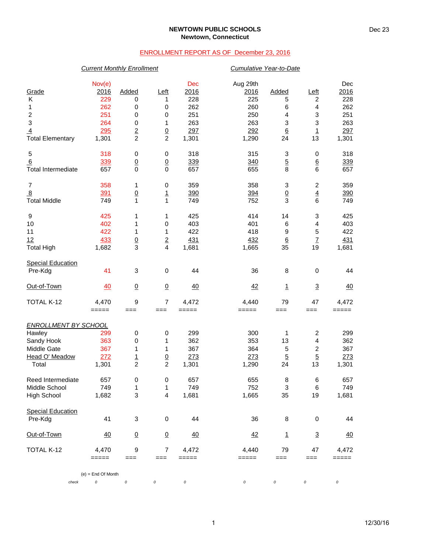### **NEWTOWN PUBLIC SCHOOLS Newtown, Connecticut**

# ENROLLMENT REPORT AS OF December 23, 2016

# *Current Monthly Enrollment Cumulative Year-to-Date*

| Grade<br>Κ<br>1<br>$\boldsymbol{2}$<br>$\ensuremath{\mathsf{3}}$<br>$\overline{4}$<br><b>Total Elementary</b> | Nov(e)<br>2016<br>229<br>262<br>251<br>264<br>295<br>1,301 | Added<br>0<br>0<br>0<br>0<br>$\overline{2}$<br>$\overline{2}$ | Left<br>1<br>0<br>0<br>1<br>$\overline{0}$<br>$\overline{c}$ | Dec<br>2016<br>228<br>262<br>251<br>263<br>297<br>1,301 | Aug 29th<br>2016<br>225<br>260<br>250<br>263<br>292<br>1,290 | <b>Added</b><br>5<br>6<br>4<br>3<br>$\underline{6}$<br>24 | Left<br>$\overline{\mathbf{c}}$<br>4<br>3<br>3<br>$\overline{1}$<br>13          | Dec<br>2016<br>228<br>262<br>251<br>263<br>297<br>1,301 |
|---------------------------------------------------------------------------------------------------------------|------------------------------------------------------------|---------------------------------------------------------------|--------------------------------------------------------------|---------------------------------------------------------|--------------------------------------------------------------|-----------------------------------------------------------|---------------------------------------------------------------------------------|---------------------------------------------------------|
| 5<br>6<br><b>Total Intermediate</b>                                                                           | 318<br>339<br>657                                          | 0<br>$\overline{0}$<br>0                                      | 0<br>$\overline{0}$<br>$\mathbf 0$                           | 318<br>339<br>657                                       | 315<br>340<br>655                                            | 3<br>$\overline{5}$<br>8                                  | 0<br>$\underline{6}$<br>6                                                       | 318<br>339<br>657                                       |
| $\overline{7}$<br>$\overline{8}$<br><b>Total Middle</b>                                                       | 358<br>391<br>749                                          | 1<br>$\underline{0}$<br>1                                     | 0<br>$\mathbf{1}$<br>$\mathbf{1}$                            | 359<br>390<br>749                                       | 358<br>394<br>752                                            | 3<br>$\underline{0}$<br>3                                 | $\overline{\mathbf{c}}$<br>$\overline{4}$<br>6                                  | 359<br>390<br>749                                       |
| 9<br>10<br>11<br>12<br><b>Total High</b>                                                                      | 425<br>402<br>422<br>433<br>1,682                          | 1<br>1<br>1<br>$\frac{0}{3}$                                  | 1<br>0<br>1<br>$\overline{2}$<br>$\overline{\mathbf{4}}$     | 425<br>403<br>422<br>431<br>1,681                       | 414<br>401<br>418<br>432<br>1,665                            | 14<br>6<br>9<br>$\underline{6}$<br>35                     | 3<br>4<br>5<br>$\underline{7}$<br>19                                            | 425<br>403<br>422<br>431<br>1,681                       |
| <b>Special Education</b><br>Pre-Kdg                                                                           | 41                                                         | 3                                                             | 0                                                            | 44                                                      | 36                                                           | 8                                                         | 0                                                                               | 44                                                      |
| Out-of-Town                                                                                                   | 40                                                         | $\underline{0}$                                               | $\underline{0}$                                              | 40                                                      | 42                                                           | $\overline{1}$                                            | $\overline{3}$                                                                  | <u>40</u>                                               |
| TOTAL K-12                                                                                                    | 4,470<br>$=====$                                           | 9<br>$==$                                                     | 7<br>$==$                                                    | 4,472<br>=====                                          | 4,440<br>=====                                               | 79<br>$==$                                                | 47<br>$==$                                                                      | 4,472<br>=====                                          |
| <b>ENROLLMENT BY SCHOOL</b><br>Hawley<br>Sandy Hook<br>Middle Gate<br>Head O' Meadow<br>Total                 | 299<br>363<br>367<br>272<br>1,301                          | 0<br>0<br>1<br>$\overline{1}$<br>$\overline{c}$               | $\,0\,$<br>1<br>1<br>$\overline{0}$<br>$\boldsymbol{2}$      | 299<br>362<br>367<br>273<br>1,301                       | 300<br>353<br>364<br>273<br>1,290                            | 1<br>13<br>5<br>$\overline{5}$<br>24                      | $\overline{\mathbf{c}}$<br>$\overline{\mathbf{4}}$<br>2<br>$\overline{5}$<br>13 | 299<br>362<br>367<br>273<br>1,301                       |
| Reed Intermediate<br>Middle School<br><b>High School</b>                                                      | 657<br>749<br>1,682                                        | $\pmb{0}$<br>1<br>3                                           | $\,0\,$<br>1<br>4                                            | 657<br>749<br>1,681                                     | 655<br>752<br>1,665                                          | 8<br>3<br>35                                              | 6<br>6<br>19                                                                    | 657<br>749<br>1,681                                     |
| <b>Special Education</b><br>Pre-Kdg                                                                           | 41                                                         | 3                                                             | $\pmb{0}$                                                    | 44                                                      | 36                                                           | 8                                                         | 0                                                                               | 44                                                      |
| Out-of-Town                                                                                                   | 40                                                         | $\underline{0}$                                               | $\underline{0}$                                              | $\overline{40}$                                         | 42                                                           | 1                                                         | $\overline{3}$                                                                  | $\frac{40}{5}$                                          |
| TOTAL K-12                                                                                                    | 4,470<br>=====                                             | 9<br>$==$                                                     | $\overline{7}$<br>$==$                                       | 4,472<br>=====                                          | 4,440<br>=====                                               | 79<br>$==$                                                | 47<br>$==$                                                                      | 4,472<br>=====                                          |
|                                                                                                               | $(e) =$ End Of Month                                       |                                                               |                                                              |                                                         |                                                              |                                                           |                                                                                 |                                                         |
| check                                                                                                         | 0                                                          | 0                                                             | 0                                                            | 0                                                       | 0                                                            | 0                                                         | 0                                                                               | 0                                                       |